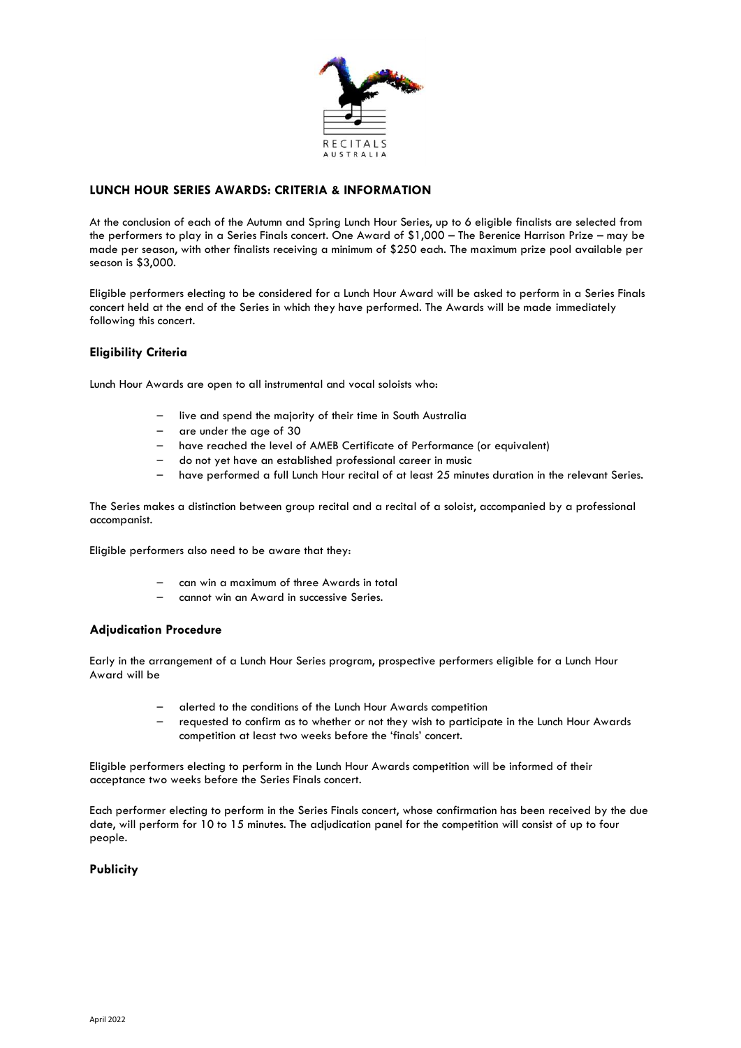

# **LUNCH HOUR SERIES AWARDS: CRITERIA & INFORMATION**

At the conclusion of each of the Autumn and Spring Lunch Hour Series, up to 6 eligible finalists are selected from the performers to play in a Series Finals concert. One Award of \$1,000 – The Berenice Harrison Prize – may be made per season, with other finalists receiving a minimum of \$250 each. The maximum prize pool available per season is \$3,000.

Eligible performers electing to be considered for a Lunch Hour Award will be asked to perform in a Series Finals concert held at the end of the Series in which they have performed. The Awards will be made immediately following this concert.

# **Eligibility Criteria**

Lunch Hour Awards are open to all instrumental and vocal soloists who:

- live and spend the majority of their time in South Australia
- are under the age of 30
- have reached the level of AMEB Certificate of Performance (or equivalent)
- do not yet have an established professional career in music
- have performed a full Lunch Hour recital of at least 25 minutes duration in the relevant Series.

The Series makes a distinction between group recital and a recital of a soloist, accompanied by a professional accompanist.

Eligible performers also need to be aware that they:

- can win a maximum of three Awards in total
- cannot win an Award in successive Series.

#### **Adjudication Procedure**

Early in the arrangement of a Lunch Hour Series program, prospective performers eligible for a Lunch Hour Award will be

- alerted to the conditions of the Lunch Hour Awards competition
- requested to confirm as to whether or not they wish to participate in the Lunch Hour Awards competition at least two weeks before the 'finals' concert.

Eligible performers electing to perform in the Lunch Hour Awards competition will be informed of their acceptance two weeks before the Series Finals concert.

Each performer electing to perform in the Series Finals concert, whose confirmation has been received by the due date, will perform for 10 to 15 minutes. The adjudication panel for the competition will consist of up to four people.

# **Publicity**